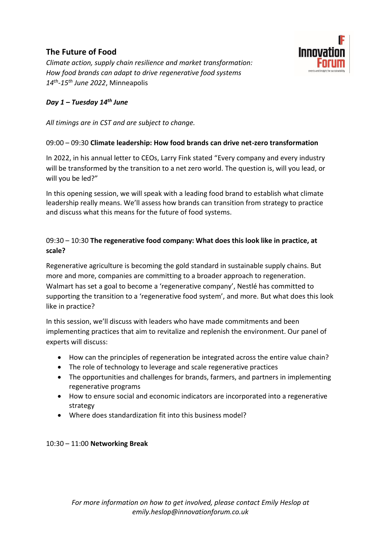# **The Future of Food**

*Climate action, supply chain resilience and market transformation: How food brands can adapt to drive regenerative food systems 14th -15th June 2022*, Minneapolis

# *Day 1 – Tuesday 14 th June*

*All timings are in CST and are subject to change.*

#### 09:00 – 09:30 **Climate leadership: How food brands can drive net-zero transformation**

Innovation

In 2022, in his annual letter to CEOs, Larry Fink stated "Every company and every industry will be transformed by the transition to a net zero world. The question is, will you lead, or will you be led?"

In this opening session, we will speak with a leading food brand to establish what climate leadership really means. We'll assess how brands can transition from strategy to practice and discuss what this means for the future of food systems.

# 09:30 – 10:30 **The regenerative food company: What does this look like in practice, at scale?**

Regenerative agriculture is becoming the gold standard in sustainable supply chains. But more and more, companies are committing to a broader approach to regeneration. Walmart has set a goal to become a 'regenerative company', Nestlé has committed to supporting the transition to a 'regenerative food system', and more. But what does this look like in practice?

In this session, we'll discuss with leaders who have made commitments and been implementing practices that aim to revitalize and replenish the environment. Our panel of experts will discuss:

- How can the principles of regeneration be integrated across the entire value chain?
- The role of technology to leverage and scale regenerative practices
- The opportunities and challenges for brands, farmers, and partners in implementing regenerative programs
- How to ensure social and economic indicators are incorporated into a regenerative strategy
- Where does standardization fit into this business model?

#### 10:30 – 11:00 **Networking Break**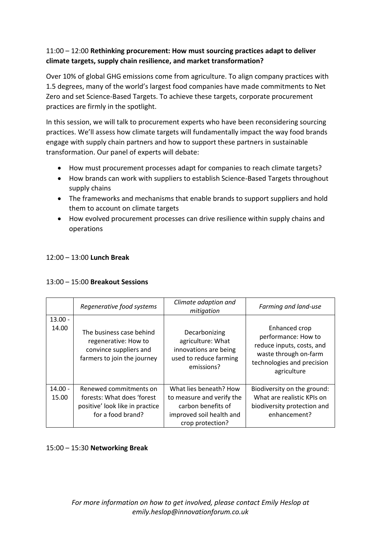## 11:00 – 12:00 **Rethinking procurement: How must sourcing practices adapt to deliver climate targets, supply chain resilience, and market transformation?**

Over 10% of global GHG emissions come from agriculture. To align company practices with 1.5 degrees, many of the world's largest food companies have made commitments to Net Zero and set Science-Based Targets. To achieve these targets, corporate procurement practices are firmly in the spotlight.

In this session, we will talk to procurement experts who have been reconsidering sourcing practices. We'll assess how climate targets will fundamentally impact the way food brands engage with supply chain partners and how to support these partners in sustainable transformation. Our panel of experts will debate:

- How must procurement processes adapt for companies to reach climate targets?
- How brands can work with suppliers to establish Science-Based Targets throughout supply chains
- The frameworks and mechanisms that enable brands to support suppliers and hold them to account on climate targets
- How evolved procurement processes can drive resilience within supply chains and operations

# 12:00 – 13:00 **Lunch Break**

## 13:00 – 15:00 **Breakout Sessions**

|                    | Regenerative food systems                                                                                    | Climate adaption and<br>mitigation                                                                                        | Farming and land-use                                                                                                                    |
|--------------------|--------------------------------------------------------------------------------------------------------------|---------------------------------------------------------------------------------------------------------------------------|-----------------------------------------------------------------------------------------------------------------------------------------|
| $13.00 -$<br>14.00 | The business case behind<br>regenerative: How to<br>convince suppliers and<br>farmers to join the journey    | Decarbonizing<br>agriculture: What<br>innovations are being<br>used to reduce farming<br>emissions?                       | Enhanced crop<br>performance: How to<br>reduce inputs, costs, and<br>waste through on-farm<br>technologies and precision<br>agriculture |
| $14.00 -$<br>15.00 | Renewed commitments on<br>forests: What does 'forest<br>positive' look like in practice<br>for a food brand? | What lies beneath? How<br>to measure and verify the<br>carbon benefits of<br>improved soil health and<br>crop protection? | Biodiversity on the ground:<br>What are realistic KPIs on<br>biodiversity protection and<br>enhancement?                                |

15:00 – 15:30 **Networking Break**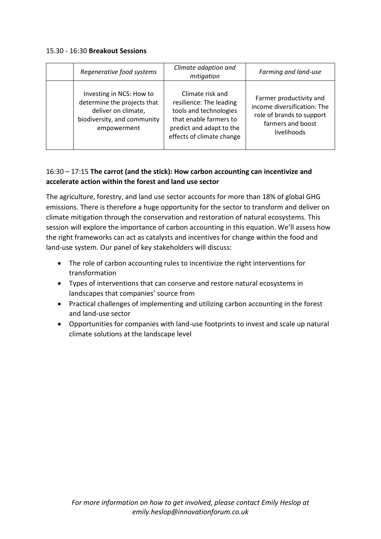#### 15.30 - 16:30 **Breakout Sessions**

| Regenerative food systems                                                                                                    | Climate adaption and<br>mitigation                                                                                                                       | Farming and land-use                                                                                                    |
|------------------------------------------------------------------------------------------------------------------------------|----------------------------------------------------------------------------------------------------------------------------------------------------------|-------------------------------------------------------------------------------------------------------------------------|
| Investing in NCS: How to<br>determine the projects that<br>deliver on climate,<br>biodiversity, and community<br>empowerment | Climate risk and<br>resilience: The leading<br>tools and technologies<br>that enable farmers to<br>predict and adapt to the<br>effects of climate change | Farmer productivity and<br>income diversification: The<br>role of brands to support<br>farmers and boost<br>livelihoods |

## 16:30 – 17:15 **The carrot (and the stick): How carbon accounting can incentivize and accelerate action within the forest and land use sector**

The agriculture, forestry, and land use sector accounts for more than 18% of global GHG emissions. There is therefore a huge opportunity for the sector to transform and deliver on climate mitigation through the conservation and restoration of natural ecosystems. This session will explore the importance of carbon accounting in this equation. We'll assess how the right frameworks can act as catalysts and incentives for change within the food and land-use system. Our panel of key stakeholders will discuss:

- The role of carbon accounting rules to incentivize the right interventions for transformation
- Types of interventions that can conserve and restore natural ecosystems in landscapes that companies' source from
- Practical challenges of implementing and utilizing carbon accounting in the forest and land-use sector
- Opportunities for companies with land-use footprints to invest and scale up natural climate solutions at the landscape level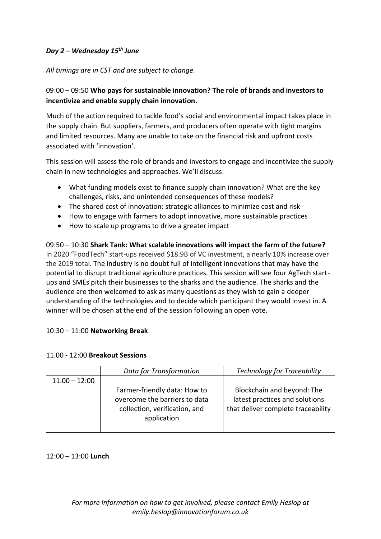# *Day 2 – Wednesday 15th June*

#### *All timings are in CST and are subject to change.*

# 09:00 – 09:50 **Who pays for sustainable innovation? The role of brands and investors to incentivize and enable supply chain innovation.**

Much of the action required to tackle food's social and environmental impact takes place in the supply chain. But suppliers, farmers, and producers often operate with tight margins and limited resources. Many are unable to take on the financial risk and upfront costs associated with 'innovation'.

This session will assess the role of brands and investors to engage and incentivize the supply chain in new technologies and approaches. We'll discuss:

- What funding models exist to finance supply chain innovation? What are the key challenges, risks, and unintended consequences of these models?
- The shared cost of innovation: strategic alliances to minimize cost and risk
- How to engage with farmers to adopt innovative, more sustainable practices
- How to scale up programs to drive a greater impact

09:50 – 10:30 **Shark Tank: What scalable innovations will impact the farm of the future?** In 2020 "FoodTech" start-ups received \$18.9B of VC investment, a nearly 10% increase over the 2019 total. The industry is no doubt full of intelligent innovations that may have the potential to disrupt traditional agriculture practices. This session will see four AgTech startups and SMEs pitch their businesses to the sharks and the audience. The sharks and the audience are then welcomed to ask as many questions as they wish to gain a deeper understanding of the technologies and to decide which participant they would invest in. A winner will be chosen at the end of the session following an open vote.

## 10:30 – 11:00 **Networking Break**

#### 11.00 - 12:00 **Breakout Sessions**

|                 | Data for Transformation                                                                                       | <b>Technology for Traceability</b>                                                                 |
|-----------------|---------------------------------------------------------------------------------------------------------------|----------------------------------------------------------------------------------------------------|
| $11.00 - 12:00$ |                                                                                                               |                                                                                                    |
|                 | Farmer-friendly data: How to<br>overcome the barriers to data<br>collection, verification, and<br>application | Blockchain and beyond: The<br>latest practices and solutions<br>that deliver complete traceability |

## 12:00 – 13:00 **Lunch**